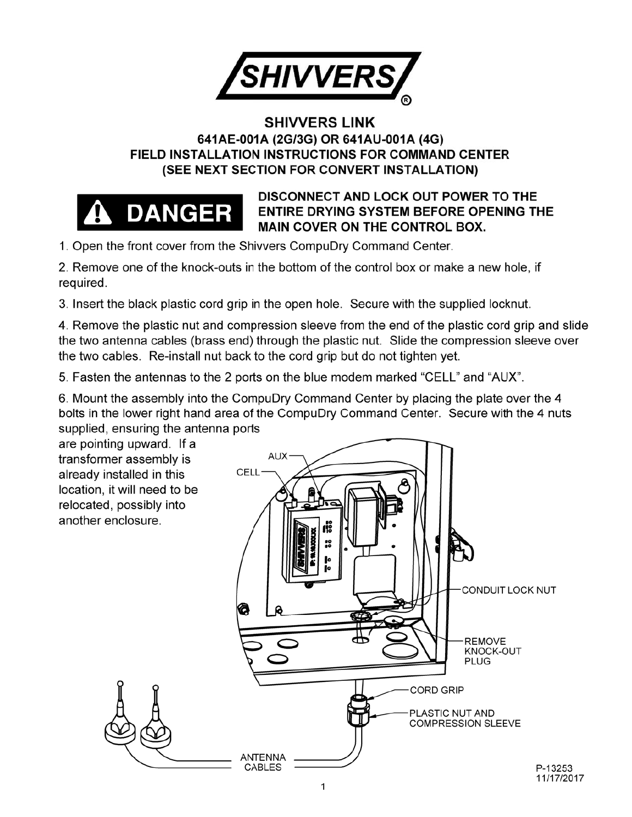

## **SHIVVERS LINK 641AE-001A (2G/3G) OR 641AU-001A (4G) FIELD INSTALLATION INSTRUCTIONS FOR COMMAND CENTER (SEE NEXT SECTION FOR CONVERT INSTALLATION)**



### **DISCONNECT AND LOCK OUT POWER TO THE ENTIRE DRYING SYSTEM BEFORE OPENING THE MAIN COVER ON THE CONTROL BOX.**

1. Open the front cover from the Shivvers CompuDry Command Center.

2. Remove one of the knock-outs in the bottom of the control box or make a new hole, if required.

3. Insert the black plastic cord grip in the open hole. Secure with the supplied locknut.

4. Remove the plastic nut and compression sleeve from the end of the plastic cord grip and slide the two antenna cables (brass end) through the plastic nut. Slide the compression sleeve over the two cables. Re-install nut back to the cord grip but do not tighten yet.

5. Fasten the antennas to the 2 ports on the blue modem marked "CELL" and "AUX".

6. Mount the assembly into the CompuDry Command Center by placing the plate over the 4 bolts in the lower right hand area of the CompuDry Command Center. Secure with the 4 nuts supplied, ensuring the antenna ports

are pointing upward. If a transformer assembly is already installed in this location, it will need to be relocated, possibly into another enclosure.

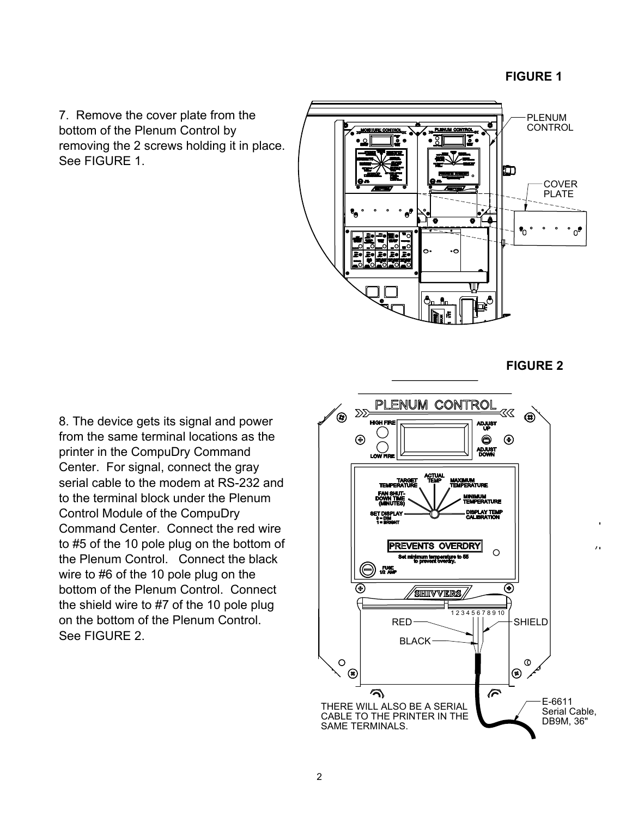7. Remove the cover plate from the bottom of the Plenum Control by removing the 2 screws holding it in place. See FIGURE 1



8. The device gets its signal and power from the same terminal locations as the printer in the CompuDry Command Center. For signal, connect the gray serial cable to the modem at RS-232 and to the terminal block under the Plenum Control Module of the CompuDry Command Center. Connect the red wire to #5 of the 10 pole plug on the bottom of the Plenum Control. Connect the black wire to #6 of the 10 pole plug on the bottom of the Plenum Control. Connect the shield wire to #7 of the 10 pole plug on the bottom of the Plenum Control. See FIGURE 2.

#### **FIGURE 2**

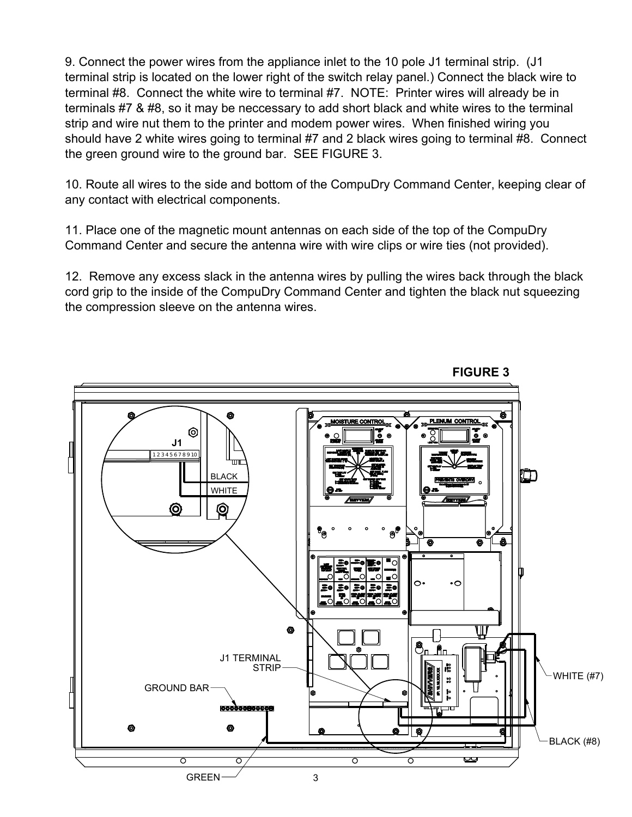9. Connect the power wires from the appliance inlet to the 10 pole J1 terminal strip. (J1 terminal strip is located on the lower right of the switch relay panel.) Connect the black wire to terminal #8. Connect the white wire to terminal #7. NOTE: Printer wires will already be in terminals #7 & #8, so it may be neccessary to add short black and white wires to the terminal strip and wire nut them to the printer and modem power wires. When finished wiring you should have 2 white wires going to terminal #7 and 2 black wires going to terminal #8. Connect the green ground wire to the ground bar. SEE FIGURE 3.

10. Route all wires to the side and bottom of the CompuDry Command Center, keeping clear of any contact with electrical components.

11. Place one of the magnetic mount antennas on each side of the top of the CompuDry Command Center and secure the antenna wire with wire clips or wire ties (not provided).

12. Remove any excess slack in the antenna wires by pulling the wires back through the black cord grip to the inside of the CompuDry Command Center and tighten the black nut squeezing the compression sleeve on the antenna wires.



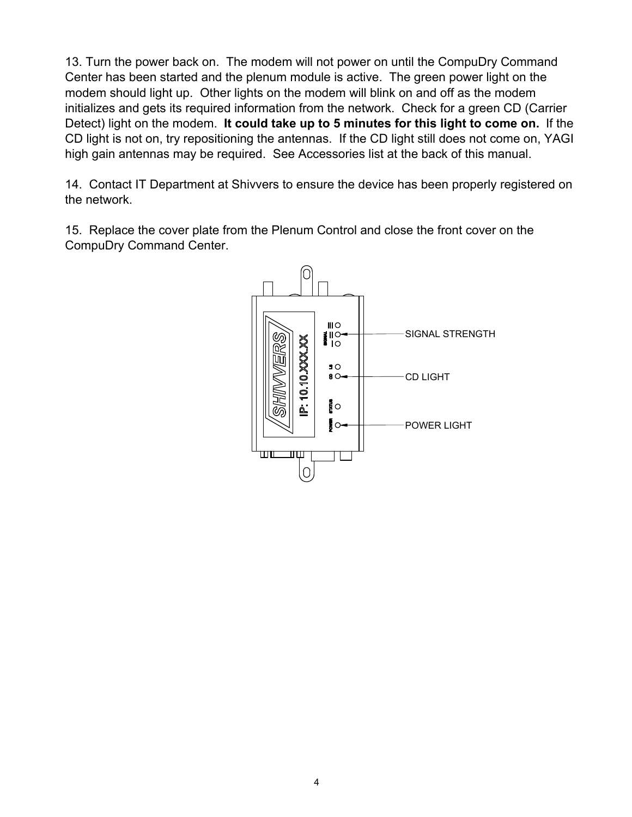13. Turn the power back on. The modem will not power on until the CompuDry Command Center has been started and the plenum module is active. The green power light on the modem should light up. Other lights on the modem will blink on and off as the modem initializes and gets its required information from the network. Check for a green CD (Carrier Detect) light on the modem. **It could take up to 5 minutes for this light to come on.** If the CD light is not on, try repositioning the antennas. If the CD light still does not come on, YAGI high gain antennas may be required. See Accessories list at the back of this manual.

14. Contact IT Department at Shivvers to ensure the device has been properly registered on the network.

15. Replace the cover plate from the Plenum Control and close the front cover on the CompuDry Command Center.

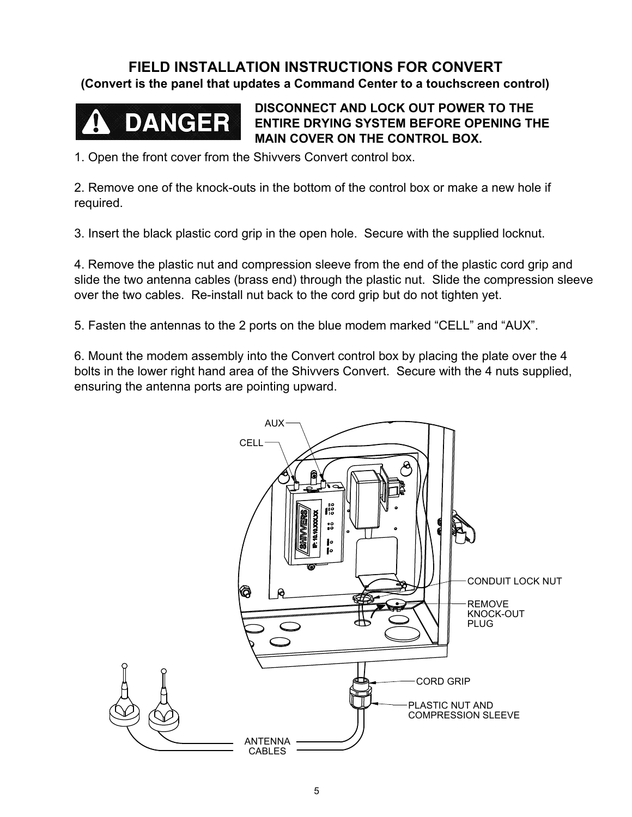## **FIELD INSTALLATION INSTRUCTIONS FOR CONVERT**

**(Convert is the panel that updates a Command Center to a touchscreen control)**



**DISCONNECT AND LOCK OUT POWER TO THE ENTIRE DRYING SYSTEM BEFORE OPENING THE MAIN COVER ON THE CONTROL BOX.**

1. Open the front cover from the Shivvers Convert control box.

2. Remove one of the knock-outs in the bottom of the control box or make a new hole if required.

3. Insert the black plastic cord grip in the open hole. Secure with the supplied locknut.

4. Remove the plastic nut and compression sleeve from the end of the plastic cord grip and slide the two antenna cables (brass end) through the plastic nut. Slide the compression sleeve over the two cables. Re-install nut back to the cord grip but do not tighten yet.

5. Fasten the antennas to the 2 ports on the blue modem marked "CELL" and "AUX".

6. Mount the modem assembly into the Convert control box by placing the plate over the 4 bolts in the lower right hand area of the Shivvers Convert. Secure with the 4 nuts supplied, ensuring the antenna ports are pointing upward.

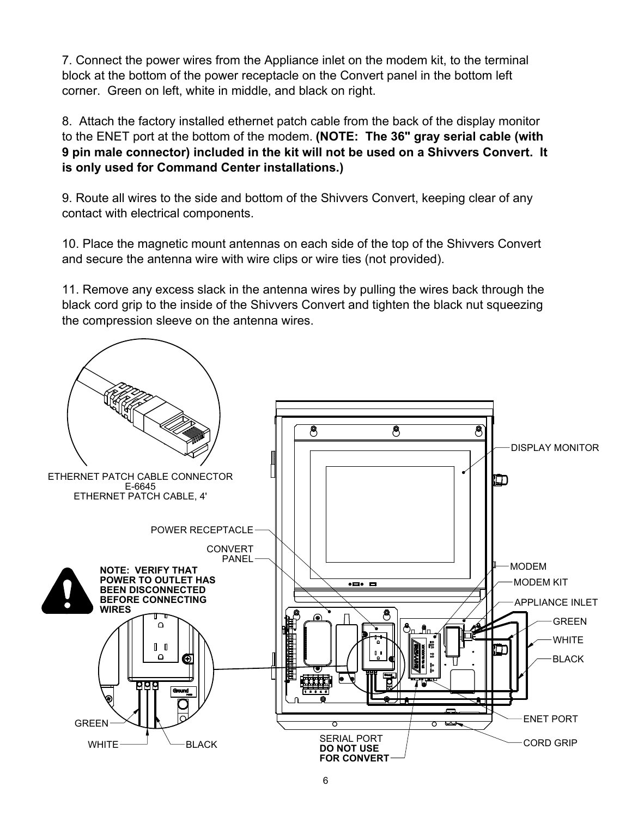7. Connect the power wires from the Appliance inlet on the modem kit, to the terminal block at the bottom of the power receptacle on the Convert panel in the bottom left corner. Green on left, white in middle, and black on right.

8. Attach the factory installed ethernet patch cable from the back of the display monitor to the ENET port at the bottom of the modem. **(NOTE: The 36" gray serial cable (with 9 pin male connector) included in the kit will not be used on a Shivvers Convert. It is only used for Command Center installations.)**

9. Route all wires to the side and bottom of the Shivvers Convert, keeping clear of any contact with electrical components.

10. Place the magnetic mount antennas on each side of the top of the Shivvers Convert and secure the antenna wire with wire clips or wire ties (not provided).

11. Remove any excess slack in the antenna wires by pulling the wires back through the black cord grip to the inside of the Shivvers Convert and tighten the black nut squeezing the compression sleeve on the antenna wires.